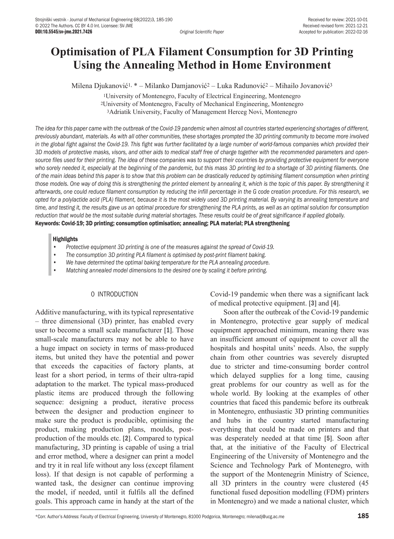# **Optimisation of PLA Filament Consumption for 3D Printing Using the Annealing Method in Home Environment**

Milena Djukanović1, \* – Milanko Damjanović2 – Luka Radunović2 – Mihailo Jovanović<sup>3</sup>

<sup>1</sup>University of Montenegro, Faculty of Electrical Engineering, Montenegro <sup>2</sup>University of Montenegro, Faculty of Mechanical Engineering, Montenegro <sup>3</sup>Adriatik University, Faculty of Management Herceg Novi, Montenegro

*The idea for this paper came with the outbreak of the Covid-19 pandemic when almost all countries started experiencing shortages of different, previously abundant, materials. As with all other communities, these shortages prompted the 3D printing community to become more involved*  in the global fight against the Covid-19. This fight was further facilitated by a large number of world-famous companies which provided their *3D models of protective masks, visors, and other aids to medical staff free of charge together with the recommended parameters and opensource files used for their printing. The idea of these companies was to support their countries by providing protective equipment for everyone who sorely needed it, especially at the beginning of the pandemic, but this mass 3D printing led to a shortage of 3D printing filaments. One of the main ideas behind this paper is to show that this problem can be drastically reduced by optimising filament consumption when printing*  those models. One way of doing this is strengthening the printed element by annealing it, which is the topic of this paper. By strengthening it *afterwards, one could reduce filament consumption by reducing the infill percentage in the G code creation procedure. For this research, we opted for a polylactide acid (PLA) filament, because it is the most widely used 3D printing material. By varying its annealing temperature and time, and testing it, the results gave us an optimal procedure for strengthening the PLA prints, as well as an optimal solution for consumption reduction that would be the most suitable during material shortages. These results could be of great significance if applied globally.* Keywords: Covid-19; 3D printing; consumption optimisation; annealing; PLA material; PLA strengthening

## **Highlights**

- *• Protective equipment 3D printing is one of the measures against the spread of Covid-19.*
- *• The consumption 3D printing PLA filament is optimised by post-print filament baking.*
- *• We have determined the optimal baking temperature for the PLA annealing procedure.*
- *Matching annealed model dimensions to the desired one by scaling it before printing.*

## 0 INTRODUCTION

Additive manufacturing, with its typical representative – three dimensional (3D) printer, has enabled every user to become a small scale manufacturer [1]. Those small-scale manufacturers may not be able to have a huge impact on society in terms of mass-produced items, but united they have the potential and power that exceeds the capacities of factory plants, at least for a short period, in terms of their ultra-rapid adaptation to the market. The typical mass-produced plastic items are produced through the following sequence: designing a product, iterative process between the designer and production engineer to make sure the product is producible, optimising the product, making production plans, moulds, postproduction of the moulds etc. [2]. Compared to typical manufacturing, 3D printing is capable of using a trial and error method, where a designer can print a model and try it in real life without any loss (except filament loss). If that design is not capable of performing a wanted task, the designer can continue improving the model, if needed, until it fulfils all the defined goals. This approach came in handy at the start of the Covid-19 pandemic when there was a significant lack of medical protective equipment. [3] and [4].

Soon after the outbreak of the Covid-19 pandemic in Montenegro, protective gear supply of medical equipment approached minimum, meaning there was an insufficient amount of equipment to cover all the hospitals and hospital units' needs. Also, the supply chain from other countries was severely disrupted due to stricter and time-consuming border control which delayed supplies for a long time, causing great problems for our country as well as for the whole world. By looking at the examples of other countries that faced this pandemic before its outbreak in Montenegro, enthusiastic 3D printing communities and hubs in the country started manufacturing everything that could be made on printers and that was desperately needed at that time [5]. Soon after that, at the initiative of the Faculty of Electrical Engineering of the University of Montenegro and the Science and Technology Park of Montenegro, with the support of the Montenegrin Ministry of Science, all 3D printers in the country were clustered (45 functional fused deposition modelling (FDM) printers in Montenegro) and we made a national cluster, which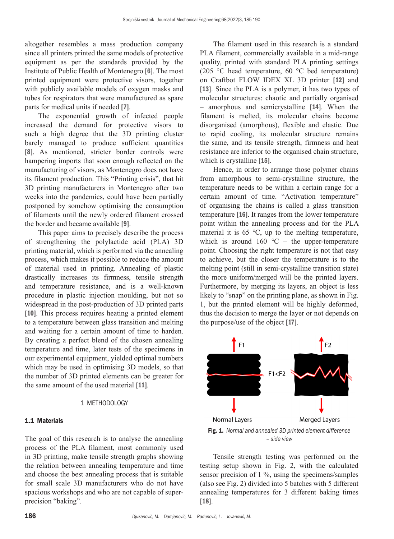altogether resembles a mass production company since all printers printed the same models of protective equipment as per the standards provided by the Institute of Public Health of Montenegro [6]. The most printed equipment were protective visors, together with publicly available models of oxygen masks and tubes for respirators that were manufactured as spare parts for medical units if needed [7].

The exponential growth of infected people increased the demand for protective visors to such a high degree that the 3D printing cluster barely managed to produce sufficient quantities [8]. As mentioned, stricter border controls were hampering imports that soon enough reflected on the manufacturing of visors, as Montenegro does not have its filament production. This "Printing crisis", that hit 3D printing manufacturers in Montenegro after two weeks into the pandemics, could have been partially postponed by somehow optimising the consumption of filaments until the newly ordered filament crossed the border and became available [9].

This paper aims to precisely describe the process of strengthening the polylactide acid (PLA) 3D printing material, which is performed via the annealing process, which makes it possible to reduce the amount of material used in printing. Annealing of plastic drastically increases its firmness, tensile strength and temperature resistance, and is a well-known procedure in plastic injection moulding, but not so widespread in the post-production of 3D printed parts [10]. This process requires heating a printed element to a temperature between glass transition and melting and waiting for a certain amount of time to harden. By creating a perfect blend of the chosen annealing temperature and time, later tests of the specimens in our experimental equipment, yielded optimal numbers which may be used in optimising 3D models, so that the number of 3D printed elements can be greater for the same amount of the used material [11].

# 1 METHODOLOGY

## 1.1 Materials

The goal of this research is to analyse the annealing process of the PLA filament, most commonly used in 3D printing, make tensile strength graphs showing the relation between annealing temperature and time and choose the best annealing process that is suitable for small scale 3D manufacturers who do not have spacious workshops and who are not capable of superprecision "baking".

The filament used in this research is a standard PLA filament, commercially available in a mid-range quality, printed with standard PLA printing settings (205 °C head temperature, 60 °C bed temperature) on Craftbot FLOW IDEX XL 3D printer [12] and [13]. Since the PLA is a polymer, it has two types of molecular structures: chaotic and partially organised – amorphous and semicrystalline [14]. When the filament is melted, its molecular chains become disorganised (amorphous), flexible and elastic. Due to rapid cooling, its molecular structure remains the same, and its tensile strength, firmness and heat resistance are inferior to the organised chain structure, which is crystalline [15].

Hence, in order to arrange those polymer chains from amorphous to semi-crystalline structure, the temperature needs to be within a certain range for a certain amount of time. "Activation temperature" of organising the chains is called a glass transition temperature [16]. It ranges from the lower temperature point within the annealing process and for the PLA material it is 65 ℃, up to the melting temperature, which is around  $160$  °C – the upper-temperature point. Choosing the right temperature is not that easy to achieve, but the closer the temperature is to the melting point (still in semi-crystalline transition state) the more uniform/merged will be the printed layers. Furthermore, by merging its layers, an object is less likely to "snap" on the printing plane, as shown in Fig. 1, but the printed element will be highly deformed, thus the decision to merge the layer or not depends on the purpose/use of the object [17].



*– side view*

Tensile strength testing was performed on the testing setup shown in Fig. 2, with the calculated sensor precision of 1 %, using the specimens/samples (also see Fig. 2) divided into 5 batches with 5 different annealing temperatures for 3 different baking times [18].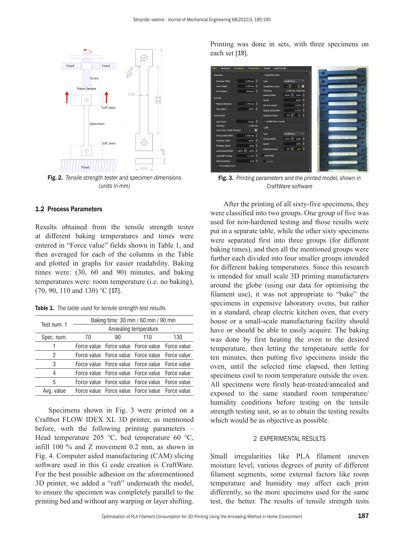

Fig. 2. *Tensile strength tester and specimen dimensions (units in mm)*

# 1.2 Process Parameters

Results obtained from the tensile strength tester at different baking temperatures and times were entered in "Force value" fields shown in Table 1, and then averaged for each of the columns in the Table and plotted in graphs for easier readability. Baking times were: (30, 60 and 90) minutes, and baking temperatures were: room temperature (i.e. no baking), (70, 90, 110 and 130) ℃ [17].

Table 1. *The table used for tensile strength test results*

| Test num. 1 | Baking time: 30 min / 60 min / 90 min |    |                                                 |     |  |  |
|-------------|---------------------------------------|----|-------------------------------------------------|-----|--|--|
|             | Annealing temperature                 |    |                                                 |     |  |  |
| Spec. num.  | 70                                    | 90 | 110                                             | 130 |  |  |
|             |                                       |    | Force value Force value Force value Force value |     |  |  |
| 2           |                                       |    | Force value Force value Force value Force value |     |  |  |
| 3           |                                       |    | Force value Force value Force value Force value |     |  |  |
| 4           |                                       |    | Force value Force value Force value Force value |     |  |  |
| 5           |                                       |    | Force value Force value Force value Force value |     |  |  |
| Avg. value  |                                       |    | Force value Force value Force value Force value |     |  |  |

Specimens shown in Fig. 3 were printed on a Craftbot FLOW IDEX XL 3D printer, as mentioned before, with the following printing parameters – Head temperature 205 ℃, bed temperature 60 ℃, infill 100 % and Z movement 0.2 mm, as shown in Fig. 4. Computer aided manufacturing (CAM) slicing software used in this G code creation is CraftWare. For the best possible adhesion on the aforementioned 3D printer, we added a "raft" underneath the model, to ensure the specimen was completely parallel to the printing bed and without any warping or layer shifting.

Printing was done in sets, with three specimens on each set [19].

| Basic<br>Advanced            | <b>Foundation</b><br>Temperature   | <b>Dual Extruder</b><br>GCode |                                 |   |                |
|------------------------------|------------------------------------|-------------------------------|---------------------------------|---|----------------|
| Resolution                   |                                    | V Top/Bottom Shell            |                                 |   |                |
| Extrusion Width              | $0.400 \, \text{mm}$ $\Rightarrow$ | Type                          | Parallel Ines<br>۰              |   |                |
| Laver Height                 | $0.200 \text{ mm}$ $\hat{=}$       | <b>Top/Bottom Layers</b>      | E<br>ö<br>$\overline{a}$        |   |                |
| Draw Speed                   | 60 mm/s $\Rightarrow$              | <b>Thickness</b>              | 0.800 mm, 0.800 mm              | ٠ |                |
| Extruder                     |                                    | Density/Midth                 | 100% 章<br>100%                  | ٠ |                |
| <b>Filament Diameter</b>     | $1.750$ mm $\Rightarrow$           | Speed                         | 100%                            |   |                |
|                              |                                    | Min.Line Length               | $1.0 \,\text{EW}$ $\oplus$      | ÷ | к              |
| <b>Flow Adjust</b>           | 100%                               | ZigZag Optimization           | $2.0$ EW $\Rightarrow$          |   |                |
| Vertical Shell               |                                    | Ande/Increment                | 90° 0<br>45°                    | ٠ | s.             |
| Loop Count                   | $2 \text{ boxes}$                  | V Frable Mirro-Travels        |                                 |   |                |
| Thidmess                     | 0.800 mm                           | $\sqrt{Imf}$                  |                                 | τ |                |
| Lock H and V Shell Thickness | $\overline{a}$                     |                               |                                 | ٠ |                |
| Vertical Shell Offset        | $0.000 \, \text{mm}$ .             | Type                          | Paralel Ines<br>۰               |   |                |
| Perimeter Width              | 100%                               | Density Midth                 | 100%<br>120%                    | ٠ |                |
| Perineter Speed              | 60% ÷                              | Speed                         | 125%                            |   |                |
| Loop Density/Width           | 100%<br>100%                       | Angle/Increment               | $210^{\circ}$ $\uparrow$<br>45* |   | $\overline{m}$ |
| Loop/Infil Overlap           | $0.1$ EW $\oplus$                  | Vase Mode                     |                                 |   |                |
| Path Smoothing               | $0.08 \Leftrightarrow$             | Spiralize                     |                                 |   |                |
| $V$ Fix winding errors       |                                    |                               |                                 |   |                |
|                              |                                    |                               |                                 |   |                |

Fig. 3. *Printing parameters and the printed model, shown in CraftWare software*

After the printing of all sixty-five specimens, they were classified into two groups. One group of five was used for non-hardened testing and those results were put in a separate table, while the other sixty specimens were separated first into three groups (for different baking times), and then all the mentioned groups were further each divided into four smaller groups intended for different baking temperatures. Since this research is intended for small scale 3D printing manufacturers around the globe (using our data for optimising the filament use), it was not appropriate to "bake" the specimens in expensive laboratory ovens, but rather in a standard, cheap electric kitchen oven, that every house or a small-scale manufacturing facility should have or should be able to easily acquire. The baking was done by first heating the oven to the desired temperature, then letting the temperature settle for ten minutes, then putting five specimens inside the oven, until the selected time elapsed, then letting specimens cool to room temperature outside the oven. All specimens were firstly heat-treated/annealed and exposed to the same standard room temperature/ humidity conditions before testing on the tensile strength testing unit, so as to obtain the testing results which would be as objective as possible.

#### 2 EXPERIMENTAL RESULTS

Small irregularities like PLA filament uneven moisture level, various degrees of purity of different filament segments, some external factors like room temperature and humidity may affect each print differently, so the more specimens used for the same test, the better. The results of tensile strength tests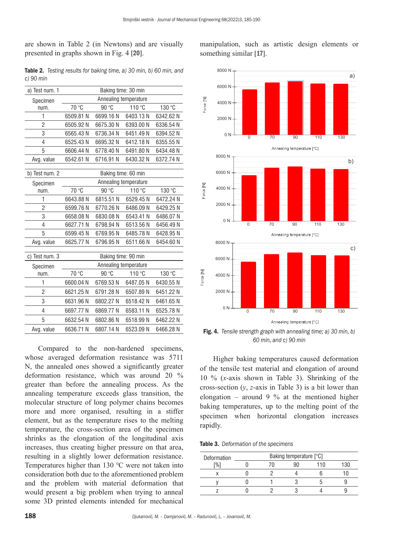are shown in Table 2 (in Newtons) and are visually presented in graphs shown in Fig. 4 [20].

Table 2. *Testing results for baking time, a) 30 min, b) 60 min, and c) 90 min*

| 70 °C                 | Baking time: 30 min<br>90 °C |           |                                              |  |  |  |  |
|-----------------------|------------------------------|-----------|----------------------------------------------|--|--|--|--|
|                       |                              |           |                                              |  |  |  |  |
|                       |                              |           | Annealing temperature                        |  |  |  |  |
|                       |                              | 110 °C    | 130 °C                                       |  |  |  |  |
|                       | 6699.16N                     | 6403.13N  | 6342.62 N                                    |  |  |  |  |
| 6505.92 N             | 6675.30N                     | 6393.00 N | 6336.54 N                                    |  |  |  |  |
| 6565.43 N             | 6736.34N                     | 6451.49 N | 6394.52 N                                    |  |  |  |  |
| 6525.43 N             | 6695.32N                     | 6412.18 N | 6355.55 N                                    |  |  |  |  |
| 6606.44 N             | 6778.40 N                    | 6491.80 N | 6434.48 N                                    |  |  |  |  |
| 6542.61 N             | 6716.91 N                    | 6430.32 N | 6372.74 N                                    |  |  |  |  |
| Baking time: 60 min   |                              |           |                                              |  |  |  |  |
|                       |                              |           |                                              |  |  |  |  |
| 70 °C                 | 90 °C                        | 110 °C    | 130 °C                                       |  |  |  |  |
| 6643.88 N             | 6815.51 N                    | 6529.45 N | 6472.24 N                                    |  |  |  |  |
| 6599.76 N             | 6770.26N                     | 6486.09N  | 6429.25 N                                    |  |  |  |  |
| 6658.08 N             | 6830.08N                     | 6543.41 N | 6486.07N                                     |  |  |  |  |
| 6627.71 N             | 6798.94 N                    | 6513.56 N | 6456.49N                                     |  |  |  |  |
| 6599.45 N             | 6769.95N                     | 6485.78 N | 6428.95N                                     |  |  |  |  |
| 6625.77 N             | 6796.95N                     | 6511.66 N | 6454.60 N                                    |  |  |  |  |
|                       |                              |           |                                              |  |  |  |  |
| Annealing temperature |                              |           |                                              |  |  |  |  |
| 70 °C                 | 90 °C                        | 110 °C    | 130 °C                                       |  |  |  |  |
| 6600.04N              | 6769.53N                     | 6487.05 N | 6430.55 N                                    |  |  |  |  |
| 6621.25N              | 6791.28N                     | 6507.89 N | 6451.22 N                                    |  |  |  |  |
| 6631.96N              | 6802.27 N                    | 6518.42 N | 6461.65N                                     |  |  |  |  |
| 6697.77 N             | 6869.77 N                    | 6583.11 N | 6525.78 N                                    |  |  |  |  |
| 6632.54 N             | 6802.86N                     | 6518.99 N | 6462.22 N                                    |  |  |  |  |
| 6636.71 N             | 6807.14N                     | 6523.09 N | 6466.28N                                     |  |  |  |  |
|                       | 6509.81 N                    |           | Annealing temperature<br>Baking time: 90 min |  |  |  |  |

Compared to the non-hardened specimens, whose averaged deformation resistance was 5711 N, the annealed ones showed a significantly greater deformation resistance, which was around 20 % greater than before the annealing process. As the annealing temperature exceeds glass transition, the molecular structure of long polymer chains becomes more and more organised, resulting in a stiffer element, but as the temperature rises to the melting temperature, the cross-section area of the specimen shrinks as the elongation of the longitudinal axis increases, thus creating higher pressure on that area, resulting in a slightly lower deformation resistance. Temperatures higher than 130 ℃ were not taken into consideration both due to the aforementioned problem and the problem with material deformation that would present a big problem when trying to anneal some 3D printed elements intended for mechanical manipulation, such as artistic design elements or something similar [17].



Fig. 4. *Tensile strength graph with annealing time; a) 30 min, b) 60 min, and c) 90 min*

Higher baking temperatures caused deformation of the tensile test material and elongation of around 10 % (*x*-axis shown in Table 3). Shrinking of the cross-section (*y*, *z*-axis in Table 3) is a bit lower than elongation – around 9  $\%$  at the mentioned higher baking temperatures, up to the melting point of the specimen when horizontal elongation increases rapidly.

|  | Table 3. Deformation of the specimens |  |  |
|--|---------------------------------------|--|--|
|--|---------------------------------------|--|--|

| Deformation |  | Baking temperature [°C] |    |     |
|-------------|--|-------------------------|----|-----|
| [%]         |  |                         | 10 | 130 |
|             |  |                         |    |     |
|             |  |                         |    |     |
|             |  |                         |    |     |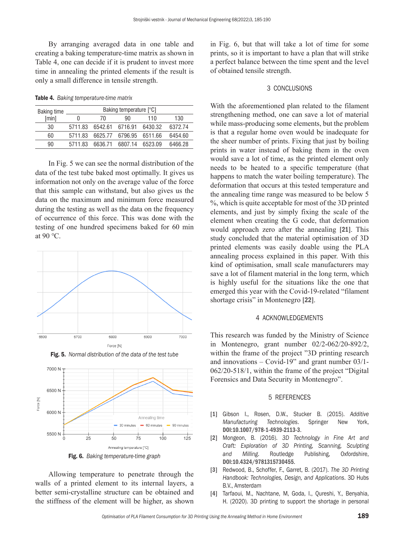By arranging averaged data in one table and creating a baking temperature-time matrix as shown in Table 4, one can decide if it is prudent to invest more time in annealing the printed elements if the result is only a small difference in tensile strength.

Table 4. *Baking temperature-time matrix*

| <b>Baking time</b> |         | Baking temperature [°C] |         |         |         |
|--------------------|---------|-------------------------|---------|---------|---------|
| [min]              |         | 70                      | 90      | 110     | 130     |
| 30                 | 5711.83 | 6542.61                 | 6716.91 | 6430.32 | 6372.74 |
| 60                 | 5711.83 | 6625.77                 | 6796.95 | 6511.66 | 6454.60 |
| 90                 | 5711.83 | 6636 71                 | 6807.14 | 6523.09 | 6466.28 |

In Fig. 5 we can see the normal distribution of the data of the test tube baked most optimally. It gives us information not only on the average value of the force that this sample can withstand, but also gives us the data on the maximum and minimum force measured during the testing as well as the data on the frequency of occurrence of this force. This was done with the testing of one hundred specimens baked for 60 min at 90 ℃.







Allowing temperature to penetrate through the walls of a printed element to its internal layers, a better semi-crystalline structure can be obtained and the stiffness of the element will be higher, as shown

in Fig. 6, but that will take a lot of time for some prints, so it is important to have a plan that will strike a perfect balance between the time spent and the level of obtained tensile strength.

## 3 CONCLUSIONS

With the aforementioned plan related to the filament strengthening method, one can save a lot of material while mass-producing some elements, but the problem is that a regular home oven would be inadequate for the sheer number of prints. Fixing that just by boiling prints in water instead of baking them in the oven would save a lot of time, as the printed element only needs to be heated to a specific temperature (that happens to match the water boiling temperature). The deformation that occurs at this tested temperature and the annealing time range was measured to be below 5 %, which is quite acceptable for most of the 3D printed elements, and just by simply fixing the scale of the element when creating the G code, that deformation would approach zero after the annealing [21]. This study concluded that the material optimisation of 3D printed elements was easily doable using the PLA annealing process explained in this paper. With this kind of optimisation, small scale manufacturers may save a lot of filament material in the long term, which is highly useful for the situations like the one that emerged this year with the Covid-19-related "filament shortage crisis" in Montenegro [22].

#### 4 ACKNOWLEDGEMENTS

This research was funded by the Ministry of Science in Montenegro, grant number 02/2-062/20-892/2, within the frame of the project "3D printing research" and innovations  $-$  Covid-19" and grant number 03/1-062/20-518/1, within the frame of the project "Digital Forensics and Data Security in Montenegro".

## 5 REFERENCES

- [1] Gibson I., Rosen, D.W., Stucker B. (2015). *Additive Manufacturing Technologies*. Springer New York, [DOI:10.1007/978-1-4939-2113-3](https://doi.org/10.1007/978-1-4939-2113-3).
- [2] Mongeon, B. (2016). *3D Technology in Fine Art and Craft: Exploration of 3D Printing, Scanning, Sculpting and Milling*. Routledge Publishing, Oxfordshire, [DOI:10.4324/9781315730455](https://doi.org/10.4324/9781315730455).
- [3] Redwood, B., Schoffer, F., Garret, B. (2017). *The 3D Printing Handbook: Technologies, Design, and Applications*. 3D Hubs B.V., Amsterdam
- [4] Tarfaoui, M., Nachtane, M, Goda, I., Qureshi, Y., Benyahia, H. (2020). 3D printing to support the shortage in personal